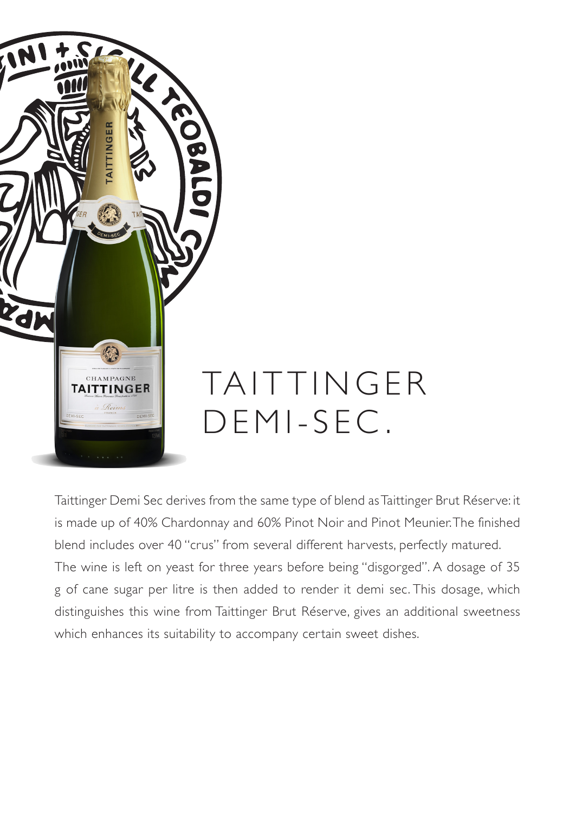

Taittinger Demi Sec derives from the same type of blend as Taittinger Brut Réserve: it is made up of 40% Chardonnay and 60% Pinot Noir and Pinot Meunier. The finished blend includes over 40 "crus" from several different harvests, perfectly matured. The wine is left on yeast for three years before being "disgorged". A dosage of 35 g of cane sugar per litre is then added to render it demi sec. This dosage, which distinguishes this wine from Taittinger Brut Réserve, gives an additional sweetness which enhances its suitability to accompany certain sweet dishes.